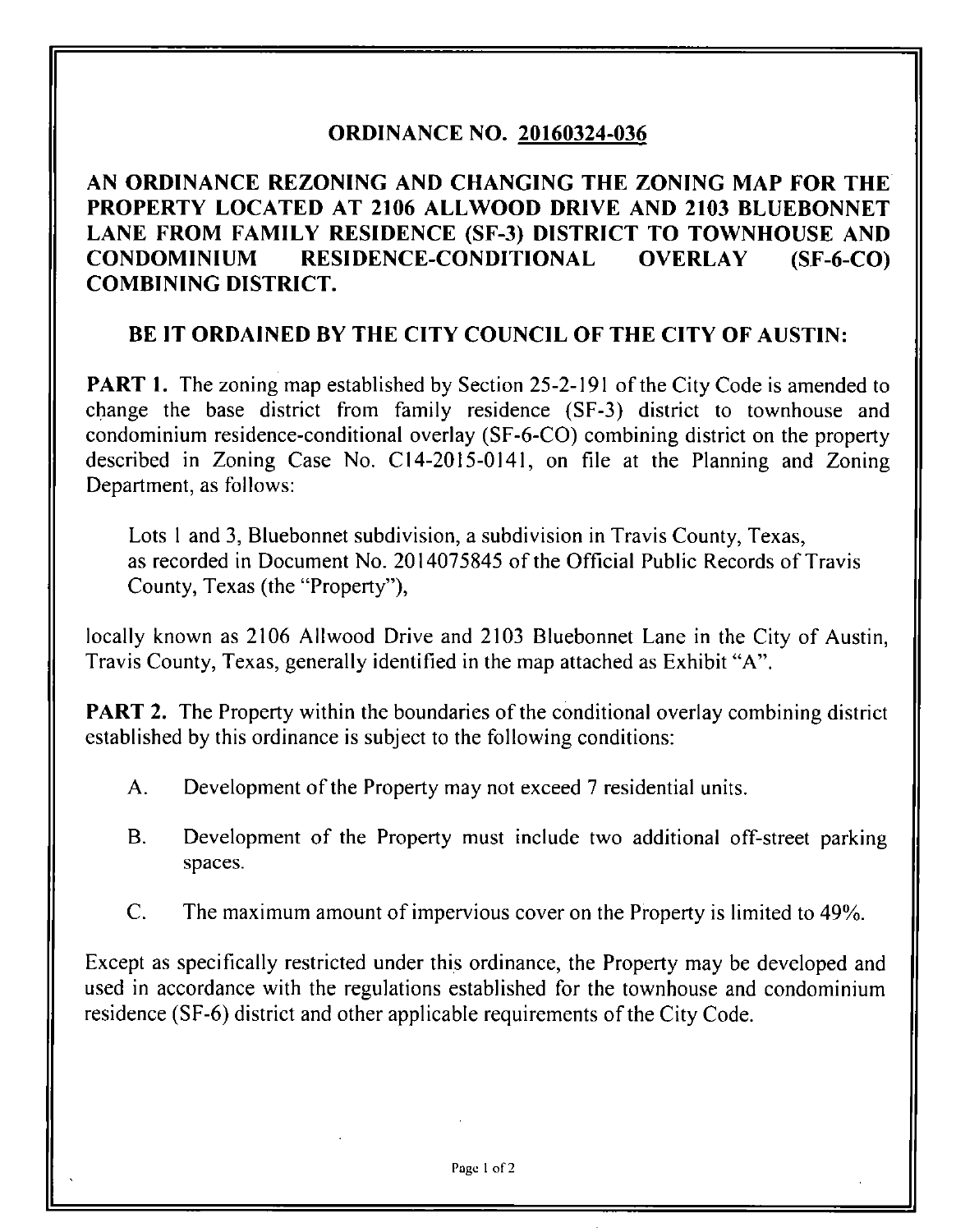## **ORDINANCE NO. 20160324-036**

**AN ORDINANCE REZONING AND CHANGING THE ZONING MAP FOR THE PROPERTY LOCATED AT 2106 ALLWOOD DRIVE AND 2103 BLUEBONNET LANE FROM FAMILY RESIDENCE (SF-3) DISTRICT TO TOWNHOUSE AND CONDOMINIUM RESIDENCE-CONDITIONAL OVERLAY (SF-6-CO) COMBINING DISTRICT.** 

## **BE IT ORDAINED BY THE CITY COUNCIL OF THE CITY OF AUSTIN:**

**PART 1.** The zoning map established by Section 25-2-191 of the City Code is amended to change the base district from family residence (SF-3) district to townhouse and condominium residence-conditional overiay (SF-6-C0) combining district on the property described in Zoning Case No. CI4-20I5-0I4I, on file at the Planning and Zoning Department, as follows:

Lots 1 and 3, Bluebonnet subdivision, a subdivision in Travis County, Texas, as recorded in Document No. 2014075845 of the Official Public Records of Travis County, Texas (the "Property"),

locally known as 2106 Allwood Drive and 2103 Bluebonnet Lane in the City of Austin, Travis County, Texas, generally identified in the map attached as Exhibit "A".

**PART 2.** The Property within the boundaries of the conditional overlay combining district established by this ordinance is subject to the following conditions:

- A. Development of the Property may not exceed 7 residential units.
- B. Development of the Property must include two additional off-street parking spaces.
- C. The maximum amount of impervious cover on the Property is limited to 49%.

Except as specifically restricted under this ordinance, the Property may be developed and used in accordance with the regulations established for the townhouse and condominium residence (SF-6) district and other applicable requirements of the City Code.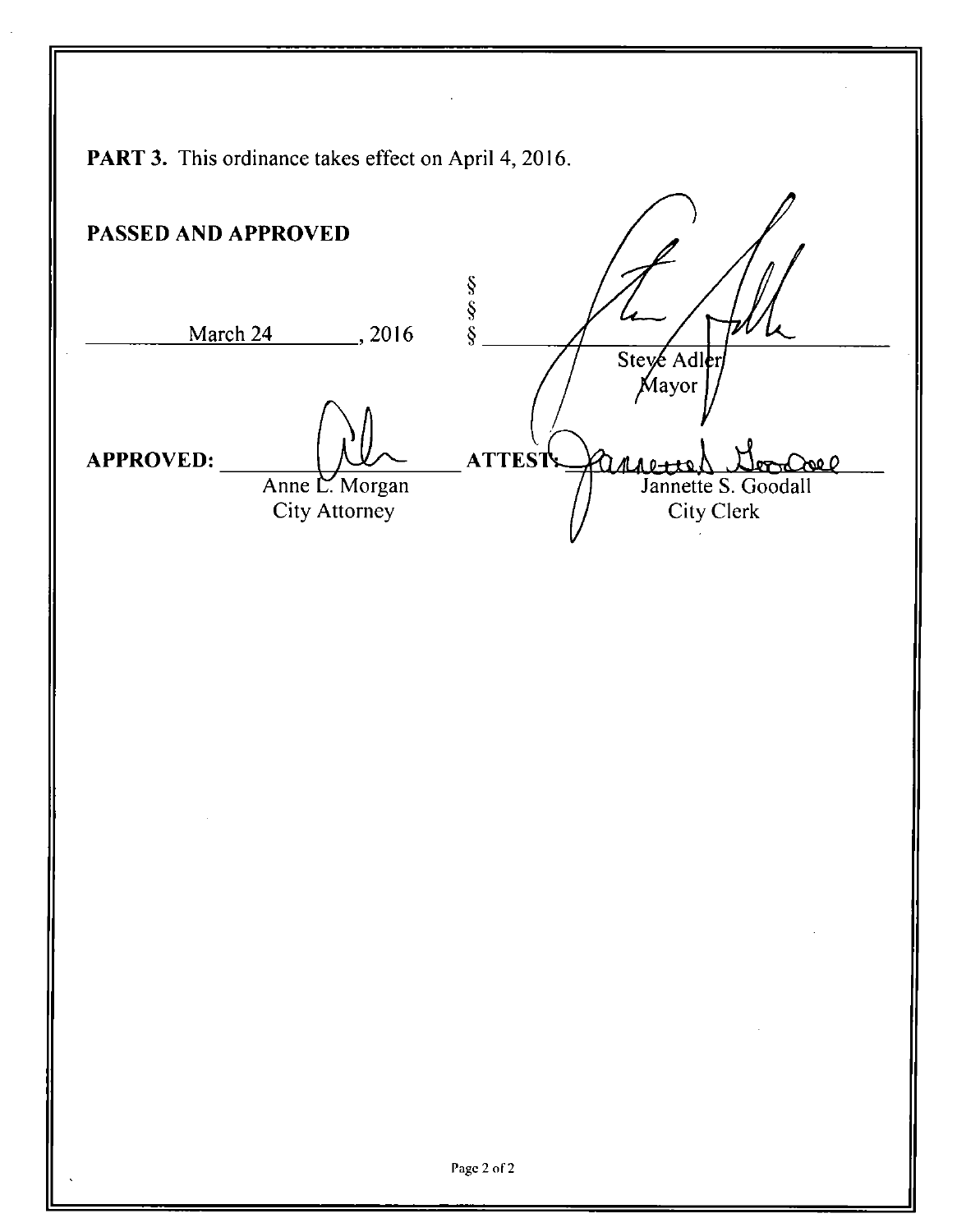